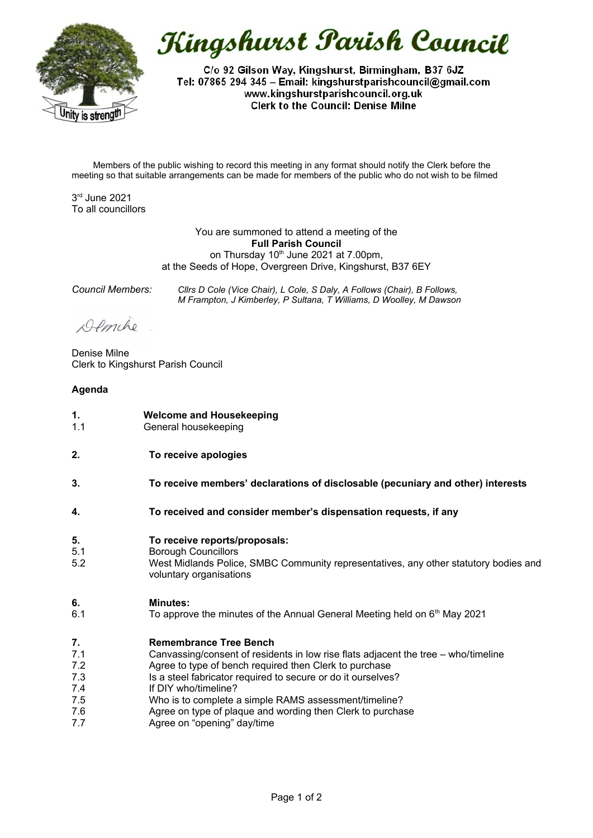

Kingshurst Parish Council

C/o 92 Gilson Way, Kingshurst, Birmingham, B37 6JZ Tel: 07865 294 345 - Email: kingshurstparishcouncil@gmail.com www.kingshurstparishcouncil.org.uk **Clerk to the Council: Denise Milne** 

Members of the public wishing to record this meeting in any format should notify the Clerk before the meeting so that suitable arrangements can be made for members of the public who do not wish to be filmed

3 rd June 2021 To all councillors

> You are summoned to attend a meeting of the **Full Parish Council** on Thursday  $10<sup>th</sup>$  June 2021 at 7.00pm. at the Seeds of Hope, Overgreen Drive, Kingshurst, B37 6EY

*Council Members: Cllrs D Cole (Vice Chair), L Cole, S Daly, A Follows (Chair), B Follows, M Frampton, J Kimberley, P Sultana, T Williams, D Woolley, M Dawson*

Demche

Denise Milne Clerk to Kingshurst Parish Council

# **Agenda**

- **1.** 1.1 **Welcome and Housekeeping** General housekeeping
- **2. To receive apologies**
- **3. To receive members' declarations of disclosable (pecuniary and other) interests**
- **4. To received and consider member's dispensation requests, if any**
- **5. To receive reports/proposals:**
- 5.1 Borough Councillors
- 5.2 West Midlands Police, SMBC Community representatives, any other statutory bodies and voluntary organisations

### **6. Minutes:**

6.1 To approve the minutes of the Annual General Meeting held on  $6<sup>th</sup>$  May 2021

### **7. Remembrance Tree Bench**

- 7.1 Canvassing/consent of residents in low rise flats adjacent the tree – who/timeline
- 7.2 Agree to type of bench required then Clerk to purchase
- 7.3 Is a steel fabricator required to secure or do it ourselves?
- 7.4 If DIY who/timeline?
- 7.5 Who is to complete a simple RAMS assessment/timeline?
- 7.6 Agree on type of plaque and wording then Clerk to purchase
- 7.7 Agree on "opening" day/time